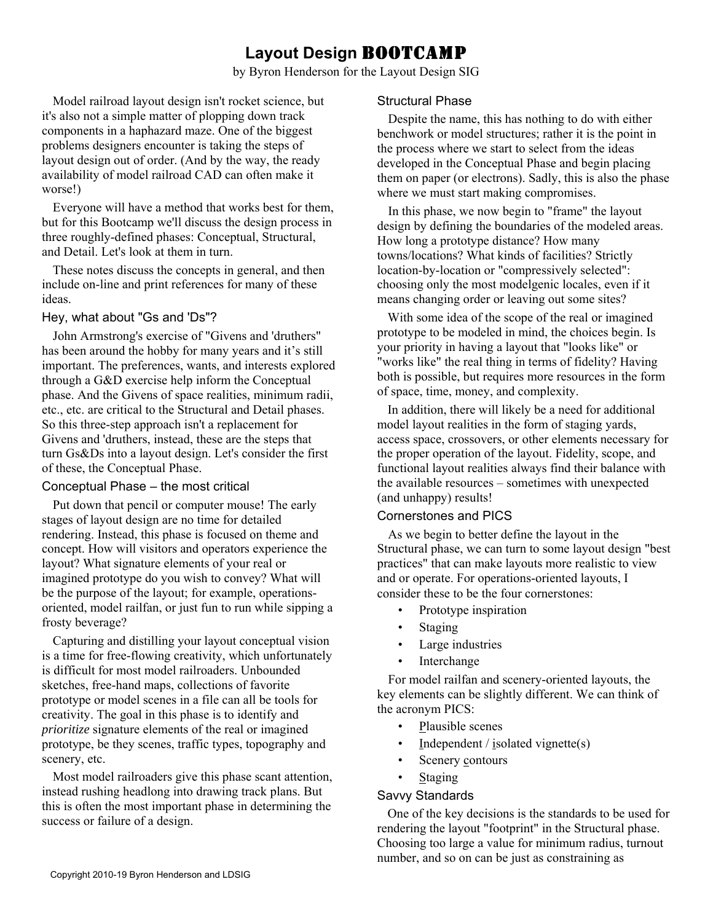# **Layout Design** BOOTCAMP

by Byron Henderson for the Layout Design SIG

Model railroad layout design isn't rocket science, but it's also not a simple matter of plopping down track components in a haphazard maze. One of the biggest problems designers encounter is taking the steps of layout design out of order. (And by the way, the ready availability of model railroad CAD can often make it worse!)

Everyone will have a method that works best for them, but for this Bootcamp we'll discuss the design process in three roughly-defined phases: Conceptual, Structural, and Detail. Let's look at them in turn.

These notes discuss the concepts in general, and then include on-line and print references for many of these ideas.

# Hey, what about "Gs and 'Ds"?

John Armstrong's exercise of "Givens and 'druthers" has been around the hobby for many years and it's still important. The preferences, wants, and interests explored through a G&D exercise help inform the Conceptual phase. And the Givens of space realities, minimum radii, etc., etc. are critical to the Structural and Detail phases. So this three-step approach isn't a replacement for Givens and 'druthers, instead, these are the steps that turn Gs&Ds into a layout design. Let's consider the first of these, the Conceptual Phase.

# Conceptual Phase – the most critical

Put down that pencil or computer mouse! The early stages of layout design are no time for detailed rendering. Instead, this phase is focused on theme and concept. How will visitors and operators experience the layout? What signature elements of your real or imagined prototype do you wish to convey? What will be the purpose of the layout; for example, operationsoriented, model railfan, or just fun to run while sipping a frosty beverage?

Capturing and distilling your layout conceptual vision is a time for free-flowing creativity, which unfortunately is difficult for most model railroaders. Unbounded sketches, free-hand maps, collections of favorite prototype or model scenes in a file can all be tools for creativity. The goal in this phase is to identify and *prioritize* signature elements of the real or imagined prototype, be they scenes, traffic types, topography and scenery, etc.

Most model railroaders give this phase scant attention, instead rushing headlong into drawing track plans. But this is often the most important phase in determining the success or failure of a design.

# Structural Phase

Despite the name, this has nothing to do with either benchwork or model structures; rather it is the point in the process where we start to select from the ideas developed in the Conceptual Phase and begin placing them on paper (or electrons). Sadly, this is also the phase where we must start making compromises.

In this phase, we now begin to "frame" the layout design by defining the boundaries of the modeled areas. How long a prototype distance? How many towns/locations? What kinds of facilities? Strictly location-by-location or "compressively selected": choosing only the most modelgenic locales, even if it means changing order or leaving out some sites?

With some idea of the scope of the real or imagined prototype to be modeled in mind, the choices begin. Is your priority in having a layout that "looks like" or "works like" the real thing in terms of fidelity? Having both is possible, but requires more resources in the form of space, time, money, and complexity.

In addition, there will likely be a need for additional model layout realities in the form of staging yards, access space, crossovers, or other elements necessary for the proper operation of the layout. Fidelity, scope, and functional layout realities always find their balance with the available resources – sometimes with unexpected (and unhappy) results!

# Cornerstones and PICS

As we begin to better define the layout in the Structural phase, we can turn to some layout design "best practices" that can make layouts more realistic to view and or operate. For operations-oriented layouts, I consider these to be the four cornerstones:

- Prototype inspiration
- **Staging**
- Large industries
- Interchange

For model railfan and scenery-oriented layouts, the key elements can be slightly different. We can think of the acronym PICS:

- Plausible scenes
- Independent / isolated vignette $(s)$
- Scenery contours
- Staging

# Savvy Standards

One of the key decisions is the standards to be used for rendering the layout "footprint" in the Structural phase. Choosing too large a value for minimum radius, turnout number, and so on can be just as constraining as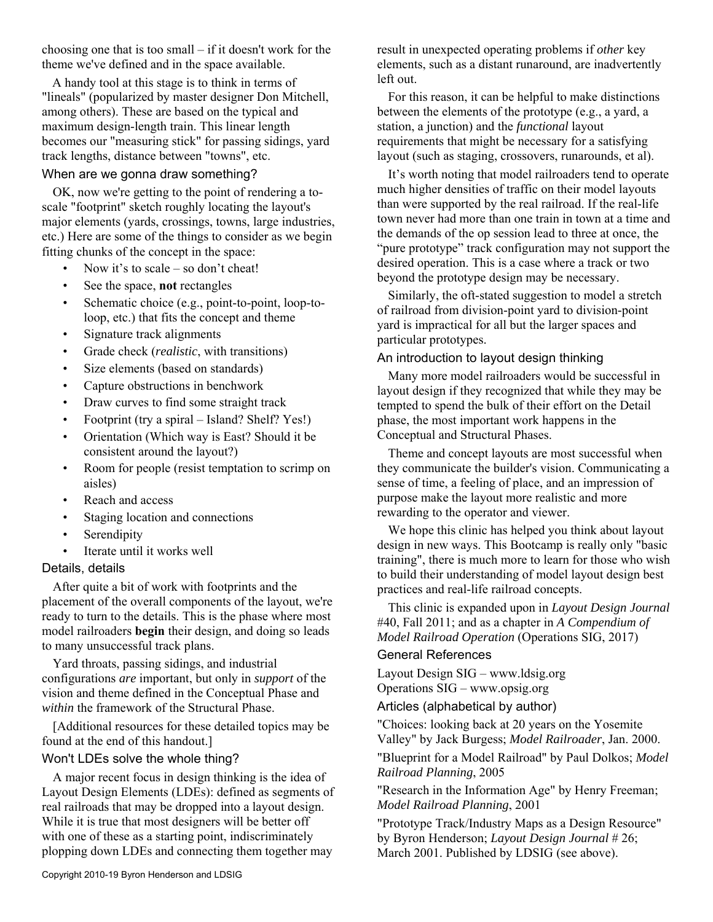choosing one that is too small – if it doesn't work for the theme we've defined and in the space available.

A handy tool at this stage is to think in terms of "lineals" (popularized by master designer Don Mitchell, among others). These are based on the typical and maximum design-length train. This linear length becomes our "measuring stick" for passing sidings, yard track lengths, distance between "towns", etc.

### When are we gonna draw something?

OK, now we're getting to the point of rendering a toscale "footprint" sketch roughly locating the layout's major elements (yards, crossings, towns, large industries, etc.) Here are some of the things to consider as we begin fitting chunks of the concept in the space:

- Now it's to scale so don't cheat!
- See the space, **not** rectangles
- Schematic choice (e.g., point-to-point, loop-toloop, etc.) that fits the concept and theme
- Signature track alignments
- Grade check (*realistic*, with transitions)
- Size elements (based on standards)
- Capture obstructions in benchwork
- Draw curves to find some straight track
- Footprint (try a spiral Island? Shelf? Yes!)
- Orientation (Which way is East? Should it be consistent around the layout?)
- Room for people (resist temptation to scrimp on aisles)
- Reach and access
- Staging location and connections
- **Serendipity**
- Iterate until it works well

#### Details, details

After quite a bit of work with footprints and the placement of the overall components of the layout, we're ready to turn to the details. This is the phase where most model railroaders **begin** their design, and doing so leads to many unsuccessful track plans.

Yard throats, passing sidings, and industrial configurations *are* important, but only in *support* of the vision and theme defined in the Conceptual Phase and *within* the framework of the Structural Phase.

[Additional resources for these detailed topics may be found at the end of this handout.]

#### Won't LDEs solve the whole thing?

A major recent focus in design thinking is the idea of Layout Design Elements (LDEs): defined as segments of real railroads that may be dropped into a layout design. While it is true that most designers will be better off with one of these as a starting point, indiscriminately plopping down LDEs and connecting them together may

result in unexpected operating problems if *other* key elements, such as a distant runaround, are inadvertently left out.

For this reason, it can be helpful to make distinctions between the elements of the prototype (e.g., a yard, a station, a junction) and the *functional* layout requirements that might be necessary for a satisfying layout (such as staging, crossovers, runarounds, et al).

It's worth noting that model railroaders tend to operate much higher densities of traffic on their model layouts than were supported by the real railroad. If the real-life town never had more than one train in town at a time and the demands of the op session lead to three at once, the "pure prototype" track configuration may not support the desired operation. This is a case where a track or two beyond the prototype design may be necessary.

Similarly, the oft-stated suggestion to model a stretch of railroad from division-point yard to division-point yard is impractical for all but the larger spaces and particular prototypes.

# An introduction to layout design thinking

Many more model railroaders would be successful in layout design if they recognized that while they may be tempted to spend the bulk of their effort on the Detail phase, the most important work happens in the Conceptual and Structural Phases.

Theme and concept layouts are most successful when they communicate the builder's vision. Communicating a sense of time, a feeling of place, and an impression of purpose make the layout more realistic and more rewarding to the operator and viewer.

We hope this clinic has helped you think about layout design in new ways. This Bootcamp is really only "basic training", there is much more to learn for those who wish to build their understanding of model layout design best practices and real-life railroad concepts.

This clinic is expanded upon in *Layout Design Journal* #40, Fall 2011; and as a chapter in *A Compendium of Model Railroad Operation* (Operations SIG, 2017)

#### General References

Layout Design SIG – www.ldsig.org Operations SIG – www.opsig.org

Articles (alphabetical by author)

"Choices: looking back at 20 years on the Yosemite Valley" by Jack Burgess; *Model Railroader*, Jan. 2000. "Blueprint for a Model Railroad" by Paul Dolkos; *Model Railroad Planning*, 2005

"Research in the Information Age" by Henry Freeman; *Model Railroad Planning*, 2001

"Prototype Track/Industry Maps as a Design Resource" by Byron Henderson; *Layout Design Journal* # 26; March 2001. Published by LDSIG (see above).